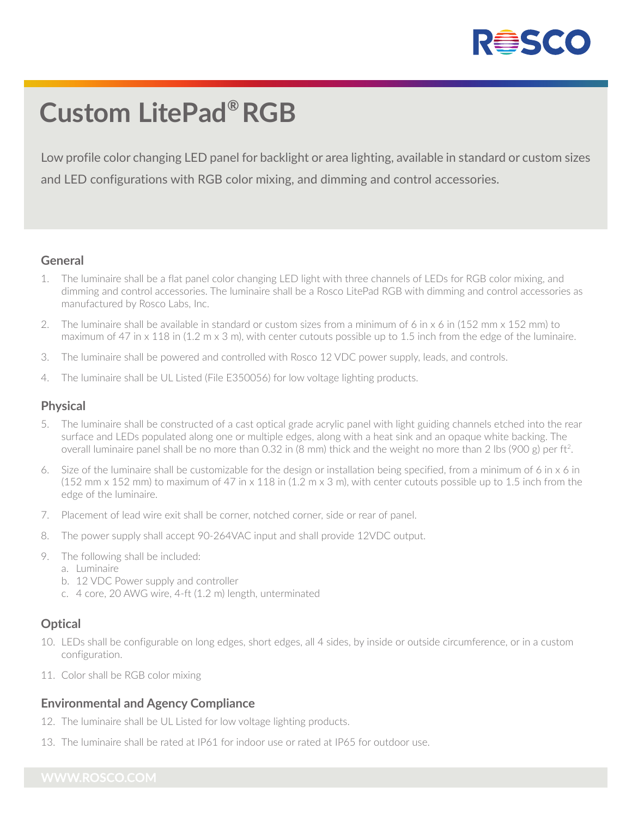

## **Custom LitePad® RGB**

Low profile color changing LED panel for backlight or area lighting, available in standard or custom sizes and LED configurations with RGB color mixing, and dimming and control accessories.

#### **General**

- 1. The luminaire shall be a flat panel color changing LED light with three channels of LEDs for RGB color mixing, and dimming and control accessories. The luminaire shall be a Rosco LitePad RGB with dimming and control accessories as manufactured by Rosco Labs, Inc.
- 2. The luminaire shall be available in standard or custom sizes from a minimum of 6 in x 6 in (152 mm x 152 mm) to maximum of 47 in x 118 in (1.2 m x 3 m), with center cutouts possible up to 1.5 inch from the edge of the luminaire.
- 3. The luminaire shall be powered and controlled with Rosco 12 VDC power supply, leads, and controls.
- 4. The luminaire shall be UL Listed (File E350056) for low voltage lighting products.

#### **Physical**

- 5. The luminaire shall be constructed of a cast optical grade acrylic panel with light guiding channels etched into the rear surface and LEDs populated along one or multiple edges, along with a heat sink and an opaque white backing. The overall luminaire panel shall be no more than 0.32 in (8 mm) thick and the weight no more than 2 lbs (900 g) per ft2.
- 6. Size of the luminaire shall be customizable for the design or installation being specified, from a minimum of 6 in x 6 in (152 mm  $\times$  152 mm) to maximum of 47 in  $\times$  118 in (1.2 m  $\times$  3 m), with center cutouts possible up to 1.5 inch from the edge of the luminaire.
- 7. Placement of lead wire exit shall be corner, notched corner, side or rear of panel.
- 8. The power supply shall accept 90-264VAC input and shall provide 12VDC output.
- 9. The following shall be included:
	- a. Luminaire
	- b. 12 VDC Power supply and controller
	- c. 4 core, 20 AWG wire, 4-ft (1.2 m) length, unterminated

### **Optical**

- 10. LEDs shall be configurable on long edges, short edges, all 4 sides, by inside or outside circumference, or in a custom configuration.
- 11. Color shall be RGB color mixing

#### **Environmental and Agency Compliance**

- 12. The luminaire shall be UL Listed for low voltage lighting products.
- 13. The luminaire shall be rated at IP61 for indoor use or rated at IP65 for outdoor use.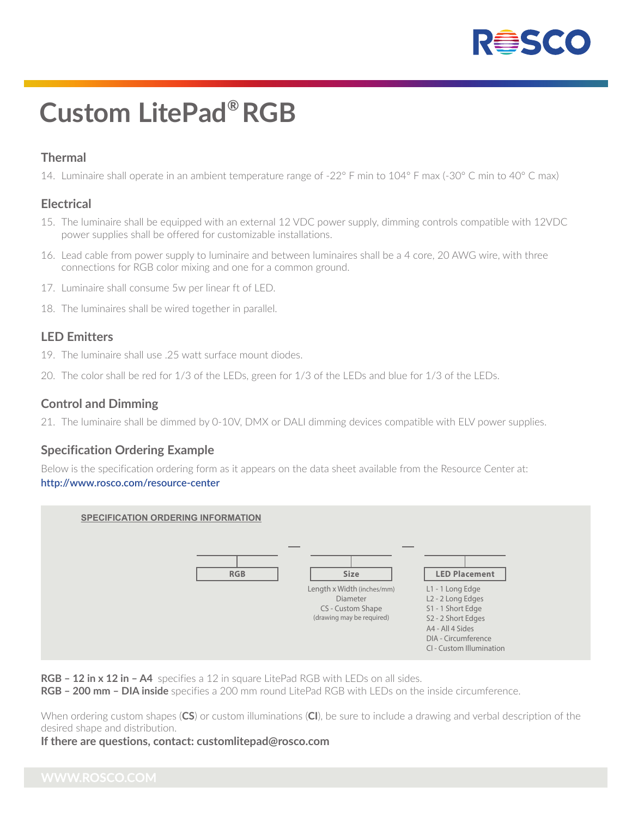

# **Custom LitePad® RGB**

## **Thermal**

14. Luminaire shall operate in an ambient temperature range of -22° F min to 104° F max (-30° C min to 40° C max)

### **Electrical**

- 15. The luminaire shall be equipped with an external 12 VDC power supply, dimming controls compatible with 12VDC power supplies shall be offered for customizable installations.
- 16. Lead cable from power supply to luminaire and between luminaires shall be a 4 core, 20 AWG wire, with three connections for RGB color mixing and one for a common ground.
- 17. Luminaire shall consume 5w per linear ft of LED.
- 18. The luminaires shall be wired together in parallel.

### **LED Emitters**

- 19. The luminaire shall use .25 watt surface mount diodes.
- 20. The color shall be red for 1/3 of the LEDs, green for 1/3 of the LEDs and blue for 1/3 of the LEDs.

### **Control and Dimming**

21. The luminaire shall be dimmed by 0-10V, DMX or DALI dimming devices compatible with ELV power supplies.

## **Specification Ordering Example**

Below is the specification ordering form as it appears on the data sheet available from the Resource Center at: **http://www.rosco.com/resource-center**



**RGB – 12 in x 12 in – A4** specifies a 12 in square LitePad RGB with LEDs on all sides.

**RGB – 200 mm – DIA inside** specifies a 200 mm round LitePad RGB with LEDs on the inside circumference.

When ordering custom shapes (**CS**) or custom illuminations (**CI**), be sure to include a drawing and verbal description of the desired shape and distribution.

#### **If there are questions, contact: customlitepad@rosco.com**